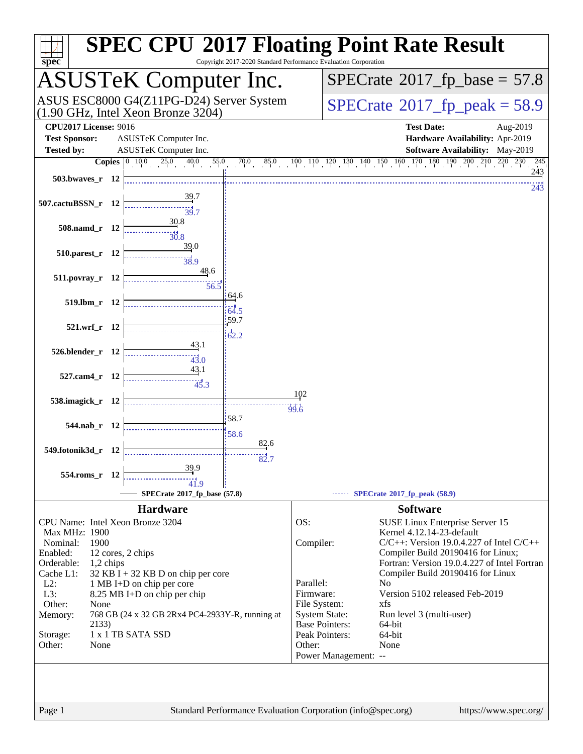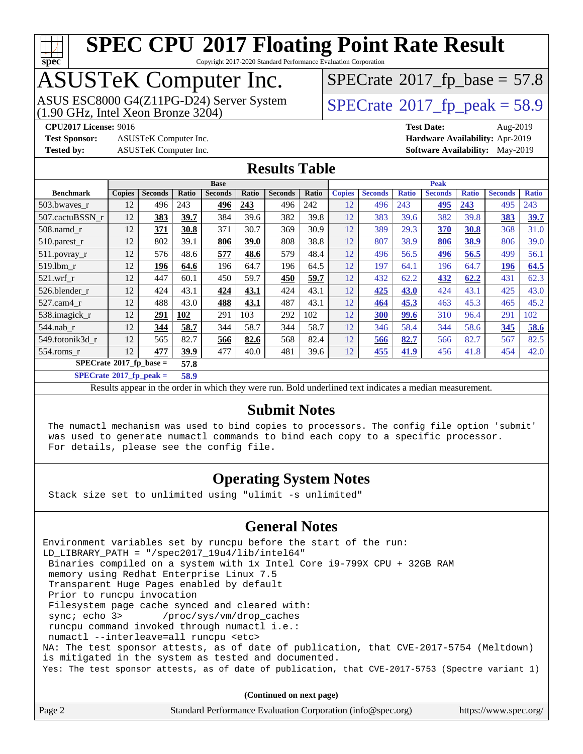

Copyright 2017-2020 Standard Performance Evaluation Corporation

# ASUSTeK Computer Inc.<br>ASUS ESC8000 G4(Z11PG-D24) Server System

(1.90 GHz, Intel Xeon Bronze 3204)

 $SPECTate@2017_fp\_base = 57.8$ 

 $SPECTate@2017_fp\_peak = 58.9$ 

**[Test Sponsor:](http://www.spec.org/auto/cpu2017/Docs/result-fields.html#TestSponsor)** ASUSTeK Computer Inc. **[Hardware Availability:](http://www.spec.org/auto/cpu2017/Docs/result-fields.html#HardwareAvailability)** Apr-2019 **[Tested by:](http://www.spec.org/auto/cpu2017/Docs/result-fields.html#Testedby)** ASUSTeK Computer Inc. **[Software Availability:](http://www.spec.org/auto/cpu2017/Docs/result-fields.html#SoftwareAvailability)** May-2019

**[CPU2017 License:](http://www.spec.org/auto/cpu2017/Docs/result-fields.html#CPU2017License)** 9016 **[Test Date:](http://www.spec.org/auto/cpu2017/Docs/result-fields.html#TestDate)** Aug-2019

### **[Results Table](http://www.spec.org/auto/cpu2017/Docs/result-fields.html#ResultsTable)**

|                                  | <b>Base</b>   |                |       |                |       | <b>Peak</b>    |       |               |                |              |                |              |                |              |
|----------------------------------|---------------|----------------|-------|----------------|-------|----------------|-------|---------------|----------------|--------------|----------------|--------------|----------------|--------------|
| <b>Benchmark</b>                 | <b>Copies</b> | <b>Seconds</b> | Ratio | <b>Seconds</b> | Ratio | <b>Seconds</b> | Ratio | <b>Copies</b> | <b>Seconds</b> | <b>Ratio</b> | <b>Seconds</b> | <b>Ratio</b> | <b>Seconds</b> | <b>Ratio</b> |
| 503.bwaves_r                     | 12            | 496            | 243   | 496            | 243   | 496            | 242   | 12            | 496            | 243          | <u>495</u>     | 243          | 495            | 243          |
| 507.cactuBSSN_r                  | 12            | 383            | 39.7  | 384            | 39.6  | 382            | 39.8  | 12            | 383            | 39.6         | 382            | 39.8         | 383            | 39.7         |
| $508$ .namd $r$                  | 12            | 371            | 30.8  | 371            | 30.7  | 369            | 30.9  | 12            | 389            | 29.3         | 370            | 30.8         | 368            | 31.0         |
| $510.parest_r$                   | 12            | 802            | 39.1  | 806            | 39.0  | 808            | 38.8  | 12            | 807            | 38.9         | 806            | 38.9         | 806            | 39.0         |
| 511.povray_r                     | 12            | 576            | 48.6  | 577            | 48.6  | 579            | 48.4  | 12            | 496            | 56.5         | 496            | 56.5         | 499            | 56.1         |
| 519.lbm r                        | 12            | 196            | 64.6  | 196            | 64.7  | 196            | 64.5  | 12            | 197            | 64.1         | 196            | 64.7         | 196            | 64.5         |
| $521$ .wrf r                     | 12            | 447            | 60.1  | 450            | 59.7  | 450            | 59.7  | 12            | 432            | 62.2         | 432            | 62.2         | 431            | 62.3         |
| 526.blender r                    | 12            | 424            | 43.1  | 424            | 43.1  | 424            | 43.1  | 12            | 425            | <b>43.0</b>  | 424            | 43.1         | 425            | 43.0         |
| 527.cam4 r                       | 12            | 488            | 43.0  | 488            | 43.1  | 487            | 43.1  | 12            | 464            | 45.3         | 463            | 45.3         | 465            | 45.2         |
| 538.imagick_r                    | 12            | 291            | 102   | 291            | 103   | 292            | 102   | 12            | <b>300</b>     | 99.6         | 310            | 96.4         | 291            | 102          |
| 544.nab r                        | 12            | 344            | 58.7  | 344            | 58.7  | 344            | 58.7  | 12            | 346            | 58.4         | 344            | 58.6         | 345            | 58.6         |
| 549.fotonik3d r                  | 12            | 565            | 82.7  | 566            | 82.6  | 568            | 82.4  | 12            | 566            | 82.7         | 566            | 82.7         | 567            | 82.5         |
| $554$ .roms r                    | 12            | 477            | 39.9  | 477            | 40.0  | 481            | 39.6  | 12            | 455            | 41.9         | 456            | 41.8         | 454            | 42.0         |
| $SPECrate^{\circ}2017$ fp base = |               |                | 57.8  |                |       |                |       |               |                |              |                |              |                |              |

**[SPECrate](http://www.spec.org/auto/cpu2017/Docs/result-fields.html#SPECrate2017fppeak)[2017\\_fp\\_peak =](http://www.spec.org/auto/cpu2017/Docs/result-fields.html#SPECrate2017fppeak) 58.9**

Results appear in the [order in which they were run.](http://www.spec.org/auto/cpu2017/Docs/result-fields.html#RunOrder) Bold underlined text [indicates a median measurement.](http://www.spec.org/auto/cpu2017/Docs/result-fields.html#Median)

### **[Submit Notes](http://www.spec.org/auto/cpu2017/Docs/result-fields.html#SubmitNotes)**

 The numactl mechanism was used to bind copies to processors. The config file option 'submit' was used to generate numactl commands to bind each copy to a specific processor. For details, please see the config file.

### **[Operating System Notes](http://www.spec.org/auto/cpu2017/Docs/result-fields.html#OperatingSystemNotes)**

Stack size set to unlimited using "ulimit -s unlimited"

### **[General Notes](http://www.spec.org/auto/cpu2017/Docs/result-fields.html#GeneralNotes)**

Environment variables set by runcpu before the start of the run: LD\_LIBRARY\_PATH = "/spec2017\_19u4/lib/intel64" Binaries compiled on a system with 1x Intel Core i9-799X CPU + 32GB RAM memory using Redhat Enterprise Linux 7.5 Transparent Huge Pages enabled by default Prior to runcpu invocation Filesystem page cache synced and cleared with: sync; echo 3> /proc/sys/vm/drop\_caches runcpu command invoked through numactl i.e.: numactl --interleave=all runcpu <etc> NA: The test sponsor attests, as of date of publication, that CVE-2017-5754 (Meltdown) is mitigated in the system as tested and documented. Yes: The test sponsor attests, as of date of publication, that CVE-2017-5753 (Spectre variant 1)

**(Continued on next page)**

| Standard Performance Evaluation Corporation (info@spec.org)<br>Page 2 | https://www.spec.org/ |
|-----------------------------------------------------------------------|-----------------------|
|-----------------------------------------------------------------------|-----------------------|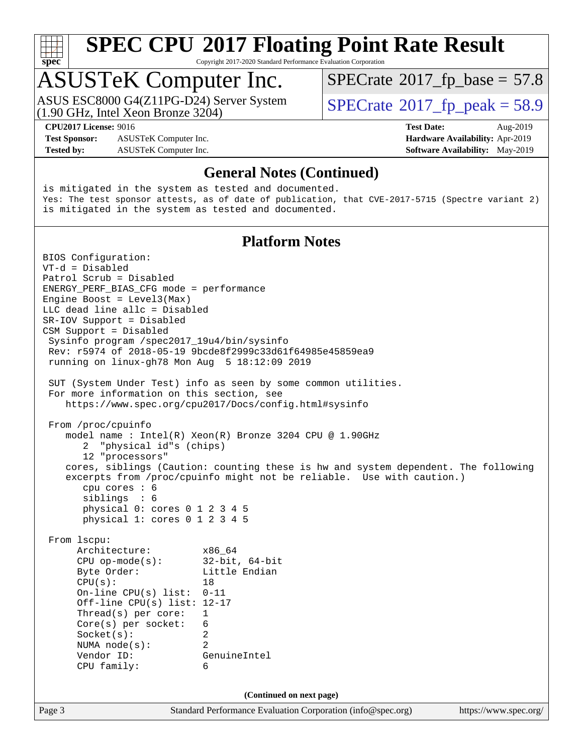

Copyright 2017-2020 Standard Performance Evaluation Corporation

### ASUSTeK Computer Inc.

(1.90 GHz, Intel Xeon Bronze 3204) ASUS ESC8000 G4(Z11PG-D24) Server System  $\vert$  [SPECrate](http://www.spec.org/auto/cpu2017/Docs/result-fields.html#SPECrate2017fppeak)®[2017\\_fp\\_peak = 5](http://www.spec.org/auto/cpu2017/Docs/result-fields.html#SPECrate2017fppeak)8.9

 $SPECTate@2017_fp\_base = 57.8$ 

**[Test Sponsor:](http://www.spec.org/auto/cpu2017/Docs/result-fields.html#TestSponsor)** ASUSTeK Computer Inc. **[Hardware Availability:](http://www.spec.org/auto/cpu2017/Docs/result-fields.html#HardwareAvailability)** Apr-2019 **[Tested by:](http://www.spec.org/auto/cpu2017/Docs/result-fields.html#Testedby)** ASUSTeK Computer Inc. **[Software Availability:](http://www.spec.org/auto/cpu2017/Docs/result-fields.html#SoftwareAvailability)** May-2019

**[CPU2017 License:](http://www.spec.org/auto/cpu2017/Docs/result-fields.html#CPU2017License)** 9016 **[Test Date:](http://www.spec.org/auto/cpu2017/Docs/result-fields.html#TestDate)** Aug-2019

### **[General Notes \(Continued\)](http://www.spec.org/auto/cpu2017/Docs/result-fields.html#GeneralNotes)**

is mitigated in the system as tested and documented. Yes: The test sponsor attests, as of date of publication, that CVE-2017-5715 (Spectre variant 2) is mitigated in the system as tested and documented.

### **[Platform Notes](http://www.spec.org/auto/cpu2017/Docs/result-fields.html#PlatformNotes)**

Page 3 Standard Performance Evaluation Corporation [\(info@spec.org\)](mailto:info@spec.org) <https://www.spec.org/> BIOS Configuration: VT-d = Disabled Patrol Scrub = Disabled ENERGY\_PERF\_BIAS\_CFG mode = performance Engine Boost = Level3(Max) LLC dead line allc = Disabled SR-IOV Support = Disabled CSM Support = Disabled Sysinfo program /spec2017\_19u4/bin/sysinfo Rev: r5974 of 2018-05-19 9bcde8f2999c33d61f64985e45859ea9 running on linux-gh78 Mon Aug 5 18:12:09 2019 SUT (System Under Test) info as seen by some common utilities. For more information on this section, see <https://www.spec.org/cpu2017/Docs/config.html#sysinfo> From /proc/cpuinfo model name : Intel(R) Xeon(R) Bronze 3204 CPU @ 1.90GHz 2 "physical id"s (chips) 12 "processors" cores, siblings (Caution: counting these is hw and system dependent. The following excerpts from /proc/cpuinfo might not be reliable. Use with caution.) cpu cores : 6 siblings : 6 physical 0: cores 0 1 2 3 4 5 physical 1: cores 0 1 2 3 4 5 From lscpu: Architecture: x86\_64 CPU op-mode(s): 32-bit, 64-bit Byte Order: Little Endian  $CPU(s):$  18 On-line CPU(s) list: 0-11 Off-line CPU(s) list: 12-17 Thread(s) per core: 1 Core(s) per socket: 6 Socket(s): 2 NUMA node(s): 2 Vendor ID: GenuineIntel CPU family: 6 **(Continued on next page)**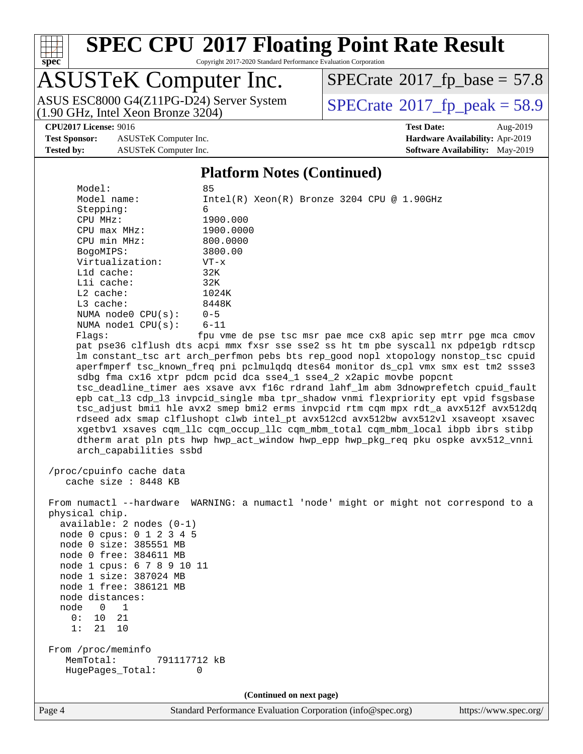

Copyright 2017-2020 Standard Performance Evaluation Corporation

## ASUSTeK Computer Inc.

ASUS ESC8000 G4(Z11PG-D24) Server System<br>(1.90 GHz, Intel Xeon Bronze 3204)

 $SPECrate$ <sup>®</sup>[2017\\_fp\\_base =](http://www.spec.org/auto/cpu2017/Docs/result-fields.html#SPECrate2017fpbase) 57.8

 $SPECrate<sup>®</sup>2017_fp_peak = 58.9$  $SPECrate<sup>®</sup>2017_fp_peak = 58.9$  $SPECrate<sup>®</sup>2017_fp_peak = 58.9$  $SPECrate<sup>®</sup>2017_fp_peak = 58.9$ 

**[Test Sponsor:](http://www.spec.org/auto/cpu2017/Docs/result-fields.html#TestSponsor)** ASUSTeK Computer Inc. **[Hardware Availability:](http://www.spec.org/auto/cpu2017/Docs/result-fields.html#HardwareAvailability)** Apr-2019 **[Tested by:](http://www.spec.org/auto/cpu2017/Docs/result-fields.html#Testedby)** ASUSTeK Computer Inc. **[Software Availability:](http://www.spec.org/auto/cpu2017/Docs/result-fields.html#SoftwareAvailability)** May-2019

**[CPU2017 License:](http://www.spec.org/auto/cpu2017/Docs/result-fields.html#CPU2017License)** 9016 **[Test Date:](http://www.spec.org/auto/cpu2017/Docs/result-fields.html#TestDate)** Aug-2019

### **[Platform Notes \(Continued\)](http://www.spec.org/auto/cpu2017/Docs/result-fields.html#PlatformNotes)**

| Model:                     | 85                                                                                   |
|----------------------------|--------------------------------------------------------------------------------------|
| Model name:                | $Intel(R) Xeon(R) Bronze 3204 CPU @ 1.90GHz$                                         |
| Stepping:                  | 6                                                                                    |
| CPU MHz:                   | 1900.000                                                                             |
| $CPU$ max $MHz$ :          | 1900.0000                                                                            |
| CPU min MHz:               | 800.0000                                                                             |
| BogoMIPS:                  | 3800.00                                                                              |
| Virtualization:            | $VT - x$                                                                             |
| L1d cache:                 | 32K                                                                                  |
| Lli cache:                 | 32K                                                                                  |
| $L2$ cache:                | 1024K                                                                                |
| L3 cache:                  | 8448K                                                                                |
| NUMA node0 CPU(s):         | $0 - 5$                                                                              |
| NUMA nodel CPU(s):         | $6 - 11$                                                                             |
| Flaqs:                     | fpu vme de pse tsc msr pae mce cx8 apic sep mtrr pge mca cmov                        |
|                            | pat pse36 clflush dts acpi mmx fxsr sse sse2 ss ht tm pbe syscall nx pdpelgb rdtscp  |
|                            | lm constant_tsc art arch_perfmon pebs bts rep_good nopl xtopology nonstop_tsc cpuid  |
|                            | aperfmperf tsc_known_freq pni pclmulqdq dtes64 monitor ds_cpl vmx smx est tm2 ssse3  |
|                            | sdbg fma cx16 xtpr pdcm pcid dca sse4_1 sse4_2 x2apic movbe popcnt                   |
|                            | tsc_deadline_timer aes xsave avx f16c rdrand lahf_lm abm 3dnowprefetch cpuid_fault   |
|                            | epb cat_13 cdp_13 invpcid_single mba tpr_shadow vnmi flexpriority ept vpid fsgsbase  |
|                            | tsc_adjust bmil hle avx2 smep bmi2 erms invpcid rtm cqm mpx rdt_a avx512f avx512dq   |
|                            | rdseed adx smap clflushopt clwb intel_pt avx512cd avx512bw avx512vl xsaveopt xsavec  |
|                            | xgetbvl xsaves cqm_llc cqm_occup_llc cqm_mbm_total cqm_mbm_local ibpb ibrs stibp     |
|                            | dtherm arat pln pts hwp hwp_act_window hwp_epp hwp_pkg_req pku ospke avx512_vnni     |
| arch_capabilities ssbd     |                                                                                      |
|                            |                                                                                      |
| /proc/cpuinfo cache data   |                                                                                      |
| cache size : 8448 KB       |                                                                                      |
|                            |                                                                                      |
|                            | From numactl --hardware WARNING: a numactl 'node' might or might not correspond to a |
| physical chip.             |                                                                                      |
| $available: 2 nodes (0-1)$ |                                                                                      |
| node 0 cpus: 0 1 2 3 4 5   |                                                                                      |
| node 0 size: 385551 MB     |                                                                                      |
| node 0 free: 384611 MB     |                                                                                      |
| node 1 cpus: 6 7 8 9 10 11 |                                                                                      |
| node 1 size: 387024 MB     |                                                                                      |
| node 1 free: 386121 MB     |                                                                                      |
| node distances:            |                                                                                      |
| node<br>$\Omega$<br>1      |                                                                                      |
| 21<br>0:<br>10             |                                                                                      |
| 1:<br>21<br>10             |                                                                                      |
|                            |                                                                                      |
| From /proc/meminfo         |                                                                                      |
| MemTotal:<br>791117712 kB  |                                                                                      |
| HugePages_Total:           | 0                                                                                    |
|                            |                                                                                      |
|                            | (Continued on next page)                                                             |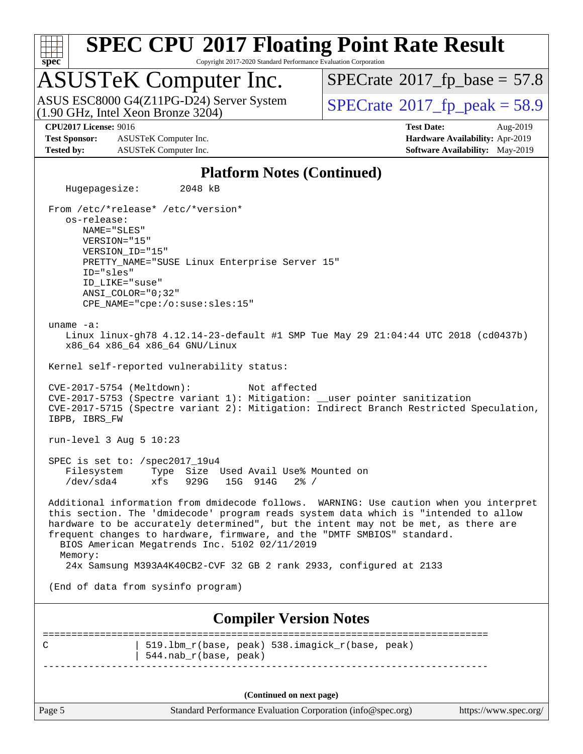

Copyright 2017-2020 Standard Performance Evaluation Corporation

### ASUSTeK Computer Inc.

(1.90 GHz, Intel Xeon Bronze 3204) ASUS ESC8000 G4(Z11PG-D24) Server System  $\sqrt{\text{SPECrate}^{\otimes}2017\_fp\_peak} = 58.9$  $\sqrt{\text{SPECrate}^{\otimes}2017\_fp\_peak} = 58.9$  $\sqrt{\text{SPECrate}^{\otimes}2017\_fp\_peak} = 58.9$ 

 $SPECTate@2017_fp\_base = 57.8$ 

**[Test Sponsor:](http://www.spec.org/auto/cpu2017/Docs/result-fields.html#TestSponsor)** ASUSTeK Computer Inc. **[Hardware Availability:](http://www.spec.org/auto/cpu2017/Docs/result-fields.html#HardwareAvailability)** Apr-2019 **[Tested by:](http://www.spec.org/auto/cpu2017/Docs/result-fields.html#Testedby)** ASUSTeK Computer Inc. **[Software Availability:](http://www.spec.org/auto/cpu2017/Docs/result-fields.html#SoftwareAvailability)** May-2019

**[CPU2017 License:](http://www.spec.org/auto/cpu2017/Docs/result-fields.html#CPU2017License)** 9016 **[Test Date:](http://www.spec.org/auto/cpu2017/Docs/result-fields.html#TestDate)** Aug-2019

### **[Platform Notes \(Continued\)](http://www.spec.org/auto/cpu2017/Docs/result-fields.html#PlatformNotes)**

Page 5 Standard Performance Evaluation Corporation [\(info@spec.org\)](mailto:info@spec.org) <https://www.spec.org/> Hugepagesize: 2048 kB From /etc/\*release\* /etc/\*version\* os-release: NAME="SLES" VERSION="15" VERSION\_ID="15" PRETTY\_NAME="SUSE Linux Enterprise Server 15" ID="sles" ID\_LIKE="suse" ANSI\_COLOR="0;32" CPE\_NAME="cpe:/o:suse:sles:15" uname -a: Linux linux-gh78 4.12.14-23-default #1 SMP Tue May 29 21:04:44 UTC 2018 (cd0437b) x86\_64 x86\_64 x86\_64 GNU/Linux Kernel self-reported vulnerability status: CVE-2017-5754 (Meltdown): Not affected CVE-2017-5753 (Spectre variant 1): Mitigation: \_\_user pointer sanitization CVE-2017-5715 (Spectre variant 2): Mitigation: Indirect Branch Restricted Speculation, IBPB, IBRS\_FW run-level 3 Aug 5 10:23 SPEC is set to: /spec2017\_19u4 Filesystem Type Size Used Avail Use% Mounted on /dev/sda4 xfs 929G 15G 914G 2% / Additional information from dmidecode follows. WARNING: Use caution when you interpret this section. The 'dmidecode' program reads system data which is "intended to allow hardware to be accurately determined", but the intent may not be met, as there are frequent changes to hardware, firmware, and the "DMTF SMBIOS" standard. BIOS American Megatrends Inc. 5102 02/11/2019 Memory: 24x Samsung M393A4K40CB2-CVF 32 GB 2 rank 2933, configured at 2133 (End of data from sysinfo program) **[Compiler Version Notes](http://www.spec.org/auto/cpu2017/Docs/result-fields.html#CompilerVersionNotes)** ============================================================================== C | 519.lbm\_r(base, peak) 538.imagick\_r(base, peak) | 544.nab\_r(base, peak) ------------------------------------------------------------------------------ **(Continued on next page)**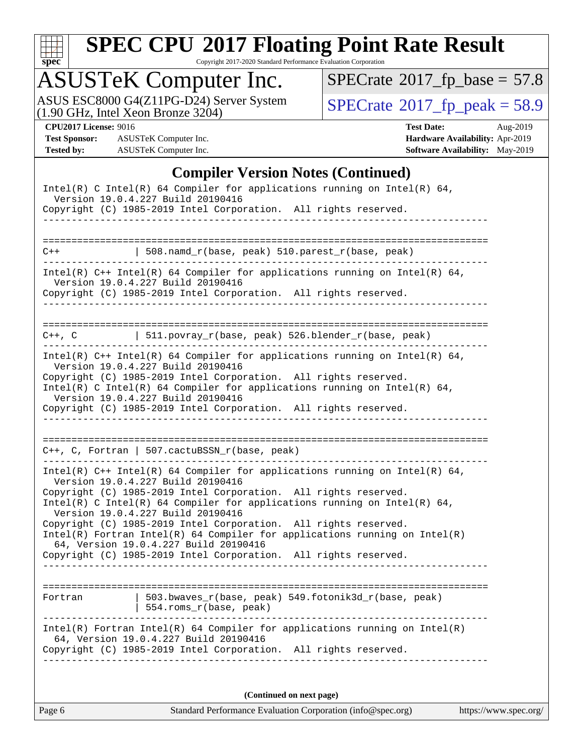

Copyright 2017-2020 Standard Performance Evaluation Corporation

# ASUSTeK Computer Inc.<br>ASUS ESC8000 G4(Z11PG-D24) Server System

(1.90 GHz, Intel Xeon Bronze 3204)

 $SPECrate$ <sup>®</sup>[2017\\_fp\\_base =](http://www.spec.org/auto/cpu2017/Docs/result-fields.html#SPECrate2017fpbase) 57.8

 $SPECrate<sup>®</sup>2017_fp_peak = 58.9$  $SPECrate<sup>®</sup>2017_fp_peak = 58.9$  $SPECrate<sup>®</sup>2017_fp_peak = 58.9$  $SPECrate<sup>®</sup>2017_fp_peak = 58.9$ 

**[Test Sponsor:](http://www.spec.org/auto/cpu2017/Docs/result-fields.html#TestSponsor)** ASUSTeK Computer Inc. **[Hardware Availability:](http://www.spec.org/auto/cpu2017/Docs/result-fields.html#HardwareAvailability)** Apr-2019 **[Tested by:](http://www.spec.org/auto/cpu2017/Docs/result-fields.html#Testedby)** ASUSTeK Computer Inc. **[Software Availability:](http://www.spec.org/auto/cpu2017/Docs/result-fields.html#SoftwareAvailability)** May-2019

**[CPU2017 License:](http://www.spec.org/auto/cpu2017/Docs/result-fields.html#CPU2017License)** 9016 **[Test Date:](http://www.spec.org/auto/cpu2017/Docs/result-fields.html#TestDate)** Aug-2019

### **[Compiler Version Notes \(Continued\)](http://www.spec.org/auto/cpu2017/Docs/result-fields.html#CompilerVersionNotes)**

|         | Intel(R) C Intel(R) 64 Compiler for applications running on Intel(R) 64,<br>Version 19.0.4.227 Build 20190416<br>Copyright (C) 1985-2019 Intel Corporation. All rights reserved.<br>----------------                                                                                                                                                                                                                                                                                                                                                                 |
|---------|----------------------------------------------------------------------------------------------------------------------------------------------------------------------------------------------------------------------------------------------------------------------------------------------------------------------------------------------------------------------------------------------------------------------------------------------------------------------------------------------------------------------------------------------------------------------|
| $C++$   | $508.namd_r(base, peak) 510.parest_r(base, peak)$                                                                                                                                                                                                                                                                                                                                                                                                                                                                                                                    |
|         | Intel(R) $C++$ Intel(R) 64 Compiler for applications running on Intel(R) 64,<br>Version 19.0.4.227 Build 20190416<br>Copyright (C) 1985-2019 Intel Corporation. All rights reserved.                                                                                                                                                                                                                                                                                                                                                                                 |
|         | $C++$ , C   511.povray_r(base, peak) 526.blender_r(base, peak)                                                                                                                                                                                                                                                                                                                                                                                                                                                                                                       |
|         | Intel(R) $C++$ Intel(R) 64 Compiler for applications running on Intel(R) 64,<br>Version 19.0.4.227 Build 20190416<br>Copyright (C) 1985-2019 Intel Corporation. All rights reserved.<br>Intel(R) C Intel(R) 64 Compiler for applications running on Intel(R) 64,<br>Version 19.0.4.227 Build 20190416<br>Copyright (C) 1985-2019 Intel Corporation. All rights reserved.<br>--------------------                                                                                                                                                                     |
|         | $C++$ , C, Fortran   507.cactuBSSN_r(base, peak)                                                                                                                                                                                                                                                                                                                                                                                                                                                                                                                     |
|         | Intel(R) $C++$ Intel(R) 64 Compiler for applications running on Intel(R) 64,<br>Version 19.0.4.227 Build 20190416<br>Copyright (C) 1985-2019 Intel Corporation. All rights reserved.<br>Intel(R) C Intel(R) 64 Compiler for applications running on Intel(R) 64,<br>Version 19.0.4.227 Build 20190416<br>Copyright (C) 1985-2019 Intel Corporation. All rights reserved.<br>$Intel(R)$ Fortran Intel(R) 64 Compiler for applications running on Intel(R)<br>64, Version 19.0.4.227 Build 20190416<br>Copyright (C) 1985-2019 Intel Corporation. All rights reserved. |
| Fortran | 503.bwaves $r(base, peak)$ 549.fotonik3d $r(base, peak)$<br>554.roms_r(base, peak)                                                                                                                                                                                                                                                                                                                                                                                                                                                                                   |
|         | $Intel(R)$ Fortran Intel(R) 64 Compiler for applications running on Intel(R)<br>64, Version 19.0.4.227 Build 20190416<br>Copyright (C) 1985-2019 Intel Corporation. All rights reserved.                                                                                                                                                                                                                                                                                                                                                                             |
|         | (Continued on next page)                                                                                                                                                                                                                                                                                                                                                                                                                                                                                                                                             |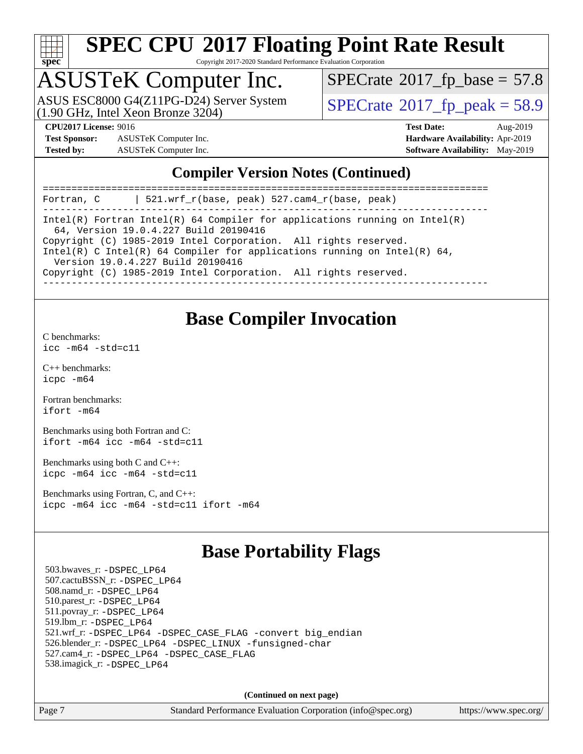

Copyright 2017-2020 Standard Performance Evaluation Corporation

### ASUSTeK Computer Inc.

(1.90 GHz, Intel Xeon Bronze 3204) ASUS ESC8000 G4(Z11PG-D24) Server System <br>(1.90 GHz, Intel Yean Bronze 3204)

 $SPECTate@2017_fp\_base = 57.8$ 

**[Test Sponsor:](http://www.spec.org/auto/cpu2017/Docs/result-fields.html#TestSponsor)** ASUSTeK Computer Inc. **[Hardware Availability:](http://www.spec.org/auto/cpu2017/Docs/result-fields.html#HardwareAvailability)** Apr-2019 **[Tested by:](http://www.spec.org/auto/cpu2017/Docs/result-fields.html#Testedby)** ASUSTeK Computer Inc. **[Software Availability:](http://www.spec.org/auto/cpu2017/Docs/result-fields.html#SoftwareAvailability)** May-2019

**[CPU2017 License:](http://www.spec.org/auto/cpu2017/Docs/result-fields.html#CPU2017License)** 9016 **[Test Date:](http://www.spec.org/auto/cpu2017/Docs/result-fields.html#TestDate)** Aug-2019

### **[Compiler Version Notes \(Continued\)](http://www.spec.org/auto/cpu2017/Docs/result-fields.html#CompilerVersionNotes)**

| 521.wrf $r(base, peak)$ 527.cam4 $r(base, peak)$<br>Fortran, C                                                      |
|---------------------------------------------------------------------------------------------------------------------|
| Intel(R) Fortran Intel(R) 64 Compiler for applications running on Intel(R)<br>64, Version 19.0.4.227 Build 20190416 |
| Copyright (C) 1985-2019 Intel Corporation. All rights reserved.                                                     |
| Intel(R) C Intel(R) 64 Compiler for applications running on Intel(R) 64,<br>Version 19.0.4.227 Build 20190416       |
| Copyright (C) 1985-2019 Intel Corporation. All rights reserved.                                                     |
|                                                                                                                     |

### **[Base Compiler Invocation](http://www.spec.org/auto/cpu2017/Docs/result-fields.html#BaseCompilerInvocation)**

[C benchmarks](http://www.spec.org/auto/cpu2017/Docs/result-fields.html#Cbenchmarks):

[icc -m64 -std=c11](http://www.spec.org/cpu2017/results/res2019q3/cpu2017-20190826-17233.flags.html#user_CCbase_intel_icc_64bit_c11_33ee0cdaae7deeeab2a9725423ba97205ce30f63b9926c2519791662299b76a0318f32ddfffdc46587804de3178b4f9328c46fa7c2b0cd779d7a61945c91cd35)

[C++ benchmarks:](http://www.spec.org/auto/cpu2017/Docs/result-fields.html#CXXbenchmarks) [icpc -m64](http://www.spec.org/cpu2017/results/res2019q3/cpu2017-20190826-17233.flags.html#user_CXXbase_intel_icpc_64bit_4ecb2543ae3f1412ef961e0650ca070fec7b7afdcd6ed48761b84423119d1bf6bdf5cad15b44d48e7256388bc77273b966e5eb805aefd121eb22e9299b2ec9d9)

[Fortran benchmarks](http://www.spec.org/auto/cpu2017/Docs/result-fields.html#Fortranbenchmarks): [ifort -m64](http://www.spec.org/cpu2017/results/res2019q3/cpu2017-20190826-17233.flags.html#user_FCbase_intel_ifort_64bit_24f2bb282fbaeffd6157abe4f878425411749daecae9a33200eee2bee2fe76f3b89351d69a8130dd5949958ce389cf37ff59a95e7a40d588e8d3a57e0c3fd751)

[Benchmarks using both Fortran and C](http://www.spec.org/auto/cpu2017/Docs/result-fields.html#BenchmarksusingbothFortranandC): [ifort -m64](http://www.spec.org/cpu2017/results/res2019q3/cpu2017-20190826-17233.flags.html#user_CC_FCbase_intel_ifort_64bit_24f2bb282fbaeffd6157abe4f878425411749daecae9a33200eee2bee2fe76f3b89351d69a8130dd5949958ce389cf37ff59a95e7a40d588e8d3a57e0c3fd751) [icc -m64 -std=c11](http://www.spec.org/cpu2017/results/res2019q3/cpu2017-20190826-17233.flags.html#user_CC_FCbase_intel_icc_64bit_c11_33ee0cdaae7deeeab2a9725423ba97205ce30f63b9926c2519791662299b76a0318f32ddfffdc46587804de3178b4f9328c46fa7c2b0cd779d7a61945c91cd35)

[Benchmarks using both C and C++](http://www.spec.org/auto/cpu2017/Docs/result-fields.html#BenchmarksusingbothCandCXX): [icpc -m64](http://www.spec.org/cpu2017/results/res2019q3/cpu2017-20190826-17233.flags.html#user_CC_CXXbase_intel_icpc_64bit_4ecb2543ae3f1412ef961e0650ca070fec7b7afdcd6ed48761b84423119d1bf6bdf5cad15b44d48e7256388bc77273b966e5eb805aefd121eb22e9299b2ec9d9) [icc -m64 -std=c11](http://www.spec.org/cpu2017/results/res2019q3/cpu2017-20190826-17233.flags.html#user_CC_CXXbase_intel_icc_64bit_c11_33ee0cdaae7deeeab2a9725423ba97205ce30f63b9926c2519791662299b76a0318f32ddfffdc46587804de3178b4f9328c46fa7c2b0cd779d7a61945c91cd35)

[Benchmarks using Fortran, C, and C++:](http://www.spec.org/auto/cpu2017/Docs/result-fields.html#BenchmarksusingFortranCandCXX) [icpc -m64](http://www.spec.org/cpu2017/results/res2019q3/cpu2017-20190826-17233.flags.html#user_CC_CXX_FCbase_intel_icpc_64bit_4ecb2543ae3f1412ef961e0650ca070fec7b7afdcd6ed48761b84423119d1bf6bdf5cad15b44d48e7256388bc77273b966e5eb805aefd121eb22e9299b2ec9d9) [icc -m64 -std=c11](http://www.spec.org/cpu2017/results/res2019q3/cpu2017-20190826-17233.flags.html#user_CC_CXX_FCbase_intel_icc_64bit_c11_33ee0cdaae7deeeab2a9725423ba97205ce30f63b9926c2519791662299b76a0318f32ddfffdc46587804de3178b4f9328c46fa7c2b0cd779d7a61945c91cd35) [ifort -m64](http://www.spec.org/cpu2017/results/res2019q3/cpu2017-20190826-17233.flags.html#user_CC_CXX_FCbase_intel_ifort_64bit_24f2bb282fbaeffd6157abe4f878425411749daecae9a33200eee2bee2fe76f3b89351d69a8130dd5949958ce389cf37ff59a95e7a40d588e8d3a57e0c3fd751)

### **[Base Portability Flags](http://www.spec.org/auto/cpu2017/Docs/result-fields.html#BasePortabilityFlags)**

 503.bwaves\_r: [-DSPEC\\_LP64](http://www.spec.org/cpu2017/results/res2019q3/cpu2017-20190826-17233.flags.html#suite_basePORTABILITY503_bwaves_r_DSPEC_LP64) 507.cactuBSSN\_r: [-DSPEC\\_LP64](http://www.spec.org/cpu2017/results/res2019q3/cpu2017-20190826-17233.flags.html#suite_basePORTABILITY507_cactuBSSN_r_DSPEC_LP64) 508.namd\_r: [-DSPEC\\_LP64](http://www.spec.org/cpu2017/results/res2019q3/cpu2017-20190826-17233.flags.html#suite_basePORTABILITY508_namd_r_DSPEC_LP64) 510.parest\_r: [-DSPEC\\_LP64](http://www.spec.org/cpu2017/results/res2019q3/cpu2017-20190826-17233.flags.html#suite_basePORTABILITY510_parest_r_DSPEC_LP64) 511.povray\_r: [-DSPEC\\_LP64](http://www.spec.org/cpu2017/results/res2019q3/cpu2017-20190826-17233.flags.html#suite_basePORTABILITY511_povray_r_DSPEC_LP64) 519.lbm\_r: [-DSPEC\\_LP64](http://www.spec.org/cpu2017/results/res2019q3/cpu2017-20190826-17233.flags.html#suite_basePORTABILITY519_lbm_r_DSPEC_LP64) 521.wrf\_r: [-DSPEC\\_LP64](http://www.spec.org/cpu2017/results/res2019q3/cpu2017-20190826-17233.flags.html#suite_basePORTABILITY521_wrf_r_DSPEC_LP64) [-DSPEC\\_CASE\\_FLAG](http://www.spec.org/cpu2017/results/res2019q3/cpu2017-20190826-17233.flags.html#b521.wrf_r_baseCPORTABILITY_DSPEC_CASE_FLAG) [-convert big\\_endian](http://www.spec.org/cpu2017/results/res2019q3/cpu2017-20190826-17233.flags.html#user_baseFPORTABILITY521_wrf_r_convert_big_endian_c3194028bc08c63ac5d04de18c48ce6d347e4e562e8892b8bdbdc0214820426deb8554edfa529a3fb25a586e65a3d812c835984020483e7e73212c4d31a38223) 526.blender\_r: [-DSPEC\\_LP64](http://www.spec.org/cpu2017/results/res2019q3/cpu2017-20190826-17233.flags.html#suite_basePORTABILITY526_blender_r_DSPEC_LP64) [-DSPEC\\_LINUX](http://www.spec.org/cpu2017/results/res2019q3/cpu2017-20190826-17233.flags.html#b526.blender_r_baseCPORTABILITY_DSPEC_LINUX) [-funsigned-char](http://www.spec.org/cpu2017/results/res2019q3/cpu2017-20190826-17233.flags.html#user_baseCPORTABILITY526_blender_r_force_uchar_40c60f00ab013830e2dd6774aeded3ff59883ba5a1fc5fc14077f794d777847726e2a5858cbc7672e36e1b067e7e5c1d9a74f7176df07886a243d7cc18edfe67) 527.cam4\_r: [-DSPEC\\_LP64](http://www.spec.org/cpu2017/results/res2019q3/cpu2017-20190826-17233.flags.html#suite_basePORTABILITY527_cam4_r_DSPEC_LP64) [-DSPEC\\_CASE\\_FLAG](http://www.spec.org/cpu2017/results/res2019q3/cpu2017-20190826-17233.flags.html#b527.cam4_r_baseCPORTABILITY_DSPEC_CASE_FLAG) 538.imagick\_r: [-DSPEC\\_LP64](http://www.spec.org/cpu2017/results/res2019q3/cpu2017-20190826-17233.flags.html#suite_basePORTABILITY538_imagick_r_DSPEC_LP64)

**(Continued on next page)**

Page 7 Standard Performance Evaluation Corporation [\(info@spec.org\)](mailto:info@spec.org) <https://www.spec.org/>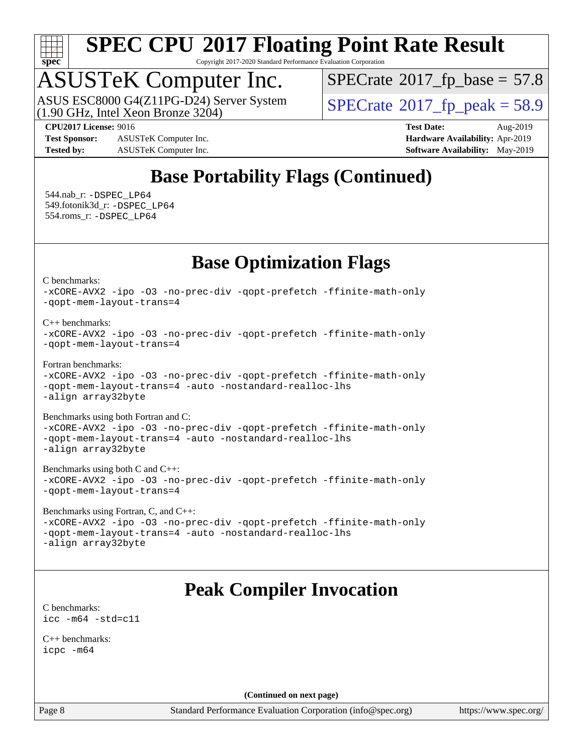

Copyright 2017-2020 Standard Performance Evaluation Corporation

## ASUSTeK Computer Inc.

(1.90 GHz, Intel Xeon Bronze 3204) ASUS ESC8000 G4(Z11PG-D24) Server System  $\vert$  [SPECrate](http://www.spec.org/auto/cpu2017/Docs/result-fields.html#SPECrate2017fppeak)®[2017\\_fp\\_peak = 5](http://www.spec.org/auto/cpu2017/Docs/result-fields.html#SPECrate2017fppeak)8.9

 $SPECTate@2017_fp\_base = 57.8$ 

**[Test Sponsor:](http://www.spec.org/auto/cpu2017/Docs/result-fields.html#TestSponsor)** ASUSTeK Computer Inc. **[Hardware Availability:](http://www.spec.org/auto/cpu2017/Docs/result-fields.html#HardwareAvailability)** Apr-2019 **[Tested by:](http://www.spec.org/auto/cpu2017/Docs/result-fields.html#Testedby)** ASUSTeK Computer Inc. **[Software Availability:](http://www.spec.org/auto/cpu2017/Docs/result-fields.html#SoftwareAvailability)** May-2019

**[CPU2017 License:](http://www.spec.org/auto/cpu2017/Docs/result-fields.html#CPU2017License)** 9016 **[Test Date:](http://www.spec.org/auto/cpu2017/Docs/result-fields.html#TestDate)** Aug-2019

### **[Base Portability Flags \(Continued\)](http://www.spec.org/auto/cpu2017/Docs/result-fields.html#BasePortabilityFlags)**

 544.nab\_r: [-DSPEC\\_LP64](http://www.spec.org/cpu2017/results/res2019q3/cpu2017-20190826-17233.flags.html#suite_basePORTABILITY544_nab_r_DSPEC_LP64) 549.fotonik3d\_r: [-DSPEC\\_LP64](http://www.spec.org/cpu2017/results/res2019q3/cpu2017-20190826-17233.flags.html#suite_basePORTABILITY549_fotonik3d_r_DSPEC_LP64) 554.roms\_r: [-DSPEC\\_LP64](http://www.spec.org/cpu2017/results/res2019q3/cpu2017-20190826-17233.flags.html#suite_basePORTABILITY554_roms_r_DSPEC_LP64)

### **[Base Optimization Flags](http://www.spec.org/auto/cpu2017/Docs/result-fields.html#BaseOptimizationFlags)**

[C benchmarks](http://www.spec.org/auto/cpu2017/Docs/result-fields.html#Cbenchmarks):

[-xCORE-AVX2](http://www.spec.org/cpu2017/results/res2019q3/cpu2017-20190826-17233.flags.html#user_CCbase_f-xCORE-AVX2) [-ipo](http://www.spec.org/cpu2017/results/res2019q3/cpu2017-20190826-17233.flags.html#user_CCbase_f-ipo) [-O3](http://www.spec.org/cpu2017/results/res2019q3/cpu2017-20190826-17233.flags.html#user_CCbase_f-O3) [-no-prec-div](http://www.spec.org/cpu2017/results/res2019q3/cpu2017-20190826-17233.flags.html#user_CCbase_f-no-prec-div) [-qopt-prefetch](http://www.spec.org/cpu2017/results/res2019q3/cpu2017-20190826-17233.flags.html#user_CCbase_f-qopt-prefetch) [-ffinite-math-only](http://www.spec.org/cpu2017/results/res2019q3/cpu2017-20190826-17233.flags.html#user_CCbase_f_finite_math_only_cb91587bd2077682c4b38af759c288ed7c732db004271a9512da14a4f8007909a5f1427ecbf1a0fb78ff2a814402c6114ac565ca162485bbcae155b5e4258871) [-qopt-mem-layout-trans=4](http://www.spec.org/cpu2017/results/res2019q3/cpu2017-20190826-17233.flags.html#user_CCbase_f-qopt-mem-layout-trans_fa39e755916c150a61361b7846f310bcdf6f04e385ef281cadf3647acec3f0ae266d1a1d22d972a7087a248fd4e6ca390a3634700869573d231a252c784941a8)

[C++ benchmarks:](http://www.spec.org/auto/cpu2017/Docs/result-fields.html#CXXbenchmarks)

```
-xCORE-AVX2 -ipo -O3 -no-prec-div -qopt-prefetch -ffinite-math-only
-qopt-mem-layout-trans=4
```
[Fortran benchmarks](http://www.spec.org/auto/cpu2017/Docs/result-fields.html#Fortranbenchmarks):

```
-xCORE-AVX2 -ipo -O3 -no-prec-div -qopt-prefetch -ffinite-math-only
-qopt-mem-layout-trans=4 -auto -nostandard-realloc-lhs
-align array32byte
```
[Benchmarks using both Fortran and C](http://www.spec.org/auto/cpu2017/Docs/result-fields.html#BenchmarksusingbothFortranandC):

[-xCORE-AVX2](http://www.spec.org/cpu2017/results/res2019q3/cpu2017-20190826-17233.flags.html#user_CC_FCbase_f-xCORE-AVX2) [-ipo](http://www.spec.org/cpu2017/results/res2019q3/cpu2017-20190826-17233.flags.html#user_CC_FCbase_f-ipo) [-O3](http://www.spec.org/cpu2017/results/res2019q3/cpu2017-20190826-17233.flags.html#user_CC_FCbase_f-O3) [-no-prec-div](http://www.spec.org/cpu2017/results/res2019q3/cpu2017-20190826-17233.flags.html#user_CC_FCbase_f-no-prec-div) [-qopt-prefetch](http://www.spec.org/cpu2017/results/res2019q3/cpu2017-20190826-17233.flags.html#user_CC_FCbase_f-qopt-prefetch) [-ffinite-math-only](http://www.spec.org/cpu2017/results/res2019q3/cpu2017-20190826-17233.flags.html#user_CC_FCbase_f_finite_math_only_cb91587bd2077682c4b38af759c288ed7c732db004271a9512da14a4f8007909a5f1427ecbf1a0fb78ff2a814402c6114ac565ca162485bbcae155b5e4258871) [-qopt-mem-layout-trans=4](http://www.spec.org/cpu2017/results/res2019q3/cpu2017-20190826-17233.flags.html#user_CC_FCbase_f-qopt-mem-layout-trans_fa39e755916c150a61361b7846f310bcdf6f04e385ef281cadf3647acec3f0ae266d1a1d22d972a7087a248fd4e6ca390a3634700869573d231a252c784941a8) [-auto](http://www.spec.org/cpu2017/results/res2019q3/cpu2017-20190826-17233.flags.html#user_CC_FCbase_f-auto) [-nostandard-realloc-lhs](http://www.spec.org/cpu2017/results/res2019q3/cpu2017-20190826-17233.flags.html#user_CC_FCbase_f_2003_std_realloc_82b4557e90729c0f113870c07e44d33d6f5a304b4f63d4c15d2d0f1fab99f5daaed73bdb9275d9ae411527f28b936061aa8b9c8f2d63842963b95c9dd6426b8a) [-align array32byte](http://www.spec.org/cpu2017/results/res2019q3/cpu2017-20190826-17233.flags.html#user_CC_FCbase_align_array32byte_b982fe038af199962ba9a80c053b8342c548c85b40b8e86eb3cc33dee0d7986a4af373ac2d51c3f7cf710a18d62fdce2948f201cd044323541f22fc0fffc51b6)

[Benchmarks using both C and C++](http://www.spec.org/auto/cpu2017/Docs/result-fields.html#BenchmarksusingbothCandCXX): [-xCORE-AVX2](http://www.spec.org/cpu2017/results/res2019q3/cpu2017-20190826-17233.flags.html#user_CC_CXXbase_f-xCORE-AVX2) [-ipo](http://www.spec.org/cpu2017/results/res2019q3/cpu2017-20190826-17233.flags.html#user_CC_CXXbase_f-ipo) [-O3](http://www.spec.org/cpu2017/results/res2019q3/cpu2017-20190826-17233.flags.html#user_CC_CXXbase_f-O3) [-no-prec-div](http://www.spec.org/cpu2017/results/res2019q3/cpu2017-20190826-17233.flags.html#user_CC_CXXbase_f-no-prec-div) [-qopt-prefetch](http://www.spec.org/cpu2017/results/res2019q3/cpu2017-20190826-17233.flags.html#user_CC_CXXbase_f-qopt-prefetch) [-ffinite-math-only](http://www.spec.org/cpu2017/results/res2019q3/cpu2017-20190826-17233.flags.html#user_CC_CXXbase_f_finite_math_only_cb91587bd2077682c4b38af759c288ed7c732db004271a9512da14a4f8007909a5f1427ecbf1a0fb78ff2a814402c6114ac565ca162485bbcae155b5e4258871) [-qopt-mem-layout-trans=4](http://www.spec.org/cpu2017/results/res2019q3/cpu2017-20190826-17233.flags.html#user_CC_CXXbase_f-qopt-mem-layout-trans_fa39e755916c150a61361b7846f310bcdf6f04e385ef281cadf3647acec3f0ae266d1a1d22d972a7087a248fd4e6ca390a3634700869573d231a252c784941a8)

[Benchmarks using Fortran, C, and C++:](http://www.spec.org/auto/cpu2017/Docs/result-fields.html#BenchmarksusingFortranCandCXX) [-xCORE-AVX2](http://www.spec.org/cpu2017/results/res2019q3/cpu2017-20190826-17233.flags.html#user_CC_CXX_FCbase_f-xCORE-AVX2) [-ipo](http://www.spec.org/cpu2017/results/res2019q3/cpu2017-20190826-17233.flags.html#user_CC_CXX_FCbase_f-ipo) [-O3](http://www.spec.org/cpu2017/results/res2019q3/cpu2017-20190826-17233.flags.html#user_CC_CXX_FCbase_f-O3) [-no-prec-div](http://www.spec.org/cpu2017/results/res2019q3/cpu2017-20190826-17233.flags.html#user_CC_CXX_FCbase_f-no-prec-div) [-qopt-prefetch](http://www.spec.org/cpu2017/results/res2019q3/cpu2017-20190826-17233.flags.html#user_CC_CXX_FCbase_f-qopt-prefetch) [-ffinite-math-only](http://www.spec.org/cpu2017/results/res2019q3/cpu2017-20190826-17233.flags.html#user_CC_CXX_FCbase_f_finite_math_only_cb91587bd2077682c4b38af759c288ed7c732db004271a9512da14a4f8007909a5f1427ecbf1a0fb78ff2a814402c6114ac565ca162485bbcae155b5e4258871) [-qopt-mem-layout-trans=4](http://www.spec.org/cpu2017/results/res2019q3/cpu2017-20190826-17233.flags.html#user_CC_CXX_FCbase_f-qopt-mem-layout-trans_fa39e755916c150a61361b7846f310bcdf6f04e385ef281cadf3647acec3f0ae266d1a1d22d972a7087a248fd4e6ca390a3634700869573d231a252c784941a8) [-auto](http://www.spec.org/cpu2017/results/res2019q3/cpu2017-20190826-17233.flags.html#user_CC_CXX_FCbase_f-auto) [-nostandard-realloc-lhs](http://www.spec.org/cpu2017/results/res2019q3/cpu2017-20190826-17233.flags.html#user_CC_CXX_FCbase_f_2003_std_realloc_82b4557e90729c0f113870c07e44d33d6f5a304b4f63d4c15d2d0f1fab99f5daaed73bdb9275d9ae411527f28b936061aa8b9c8f2d63842963b95c9dd6426b8a) [-align array32byte](http://www.spec.org/cpu2017/results/res2019q3/cpu2017-20190826-17233.flags.html#user_CC_CXX_FCbase_align_array32byte_b982fe038af199962ba9a80c053b8342c548c85b40b8e86eb3cc33dee0d7986a4af373ac2d51c3f7cf710a18d62fdce2948f201cd044323541f22fc0fffc51b6)

### **[Peak Compiler Invocation](http://www.spec.org/auto/cpu2017/Docs/result-fields.html#PeakCompilerInvocation)**

[C benchmarks](http://www.spec.org/auto/cpu2017/Docs/result-fields.html#Cbenchmarks): [icc -m64 -std=c11](http://www.spec.org/cpu2017/results/res2019q3/cpu2017-20190826-17233.flags.html#user_CCpeak_intel_icc_64bit_c11_33ee0cdaae7deeeab2a9725423ba97205ce30f63b9926c2519791662299b76a0318f32ddfffdc46587804de3178b4f9328c46fa7c2b0cd779d7a61945c91cd35)

[C++ benchmarks:](http://www.spec.org/auto/cpu2017/Docs/result-fields.html#CXXbenchmarks) [icpc -m64](http://www.spec.org/cpu2017/results/res2019q3/cpu2017-20190826-17233.flags.html#user_CXXpeak_intel_icpc_64bit_4ecb2543ae3f1412ef961e0650ca070fec7b7afdcd6ed48761b84423119d1bf6bdf5cad15b44d48e7256388bc77273b966e5eb805aefd121eb22e9299b2ec9d9)

**(Continued on next page)**

Page 8 Standard Performance Evaluation Corporation [\(info@spec.org\)](mailto:info@spec.org) <https://www.spec.org/>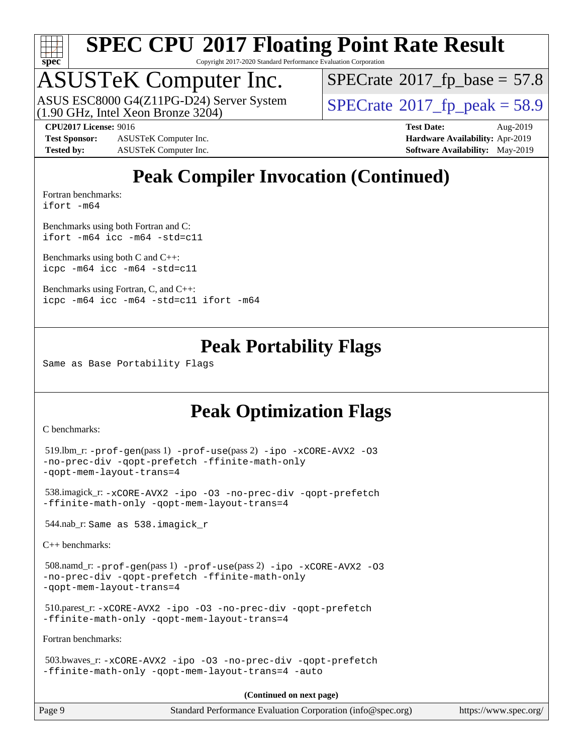

Copyright 2017-2020 Standard Performance Evaluation Corporation

# ASUSTeK Computer Inc.<br>ASUS ESC8000 G4(Z11PG-D24) Server System

(1.90 GHz, Intel Xeon Bronze 3204)

 $SPECTate@2017_fp\_base = 57.8$ 

 $SPECTate@2017_fp\_peak = 58.9$ 

**[Test Sponsor:](http://www.spec.org/auto/cpu2017/Docs/result-fields.html#TestSponsor)** ASUSTeK Computer Inc. **[Hardware Availability:](http://www.spec.org/auto/cpu2017/Docs/result-fields.html#HardwareAvailability)** Apr-2019 **[Tested by:](http://www.spec.org/auto/cpu2017/Docs/result-fields.html#Testedby)** ASUSTeK Computer Inc. **[Software Availability:](http://www.spec.org/auto/cpu2017/Docs/result-fields.html#SoftwareAvailability)** May-2019

**[CPU2017 License:](http://www.spec.org/auto/cpu2017/Docs/result-fields.html#CPU2017License)** 9016 **[Test Date:](http://www.spec.org/auto/cpu2017/Docs/result-fields.html#TestDate)** Aug-2019

### **[Peak Compiler Invocation \(Continued\)](http://www.spec.org/auto/cpu2017/Docs/result-fields.html#PeakCompilerInvocation)**

[Fortran benchmarks](http://www.spec.org/auto/cpu2017/Docs/result-fields.html#Fortranbenchmarks): [ifort -m64](http://www.spec.org/cpu2017/results/res2019q3/cpu2017-20190826-17233.flags.html#user_FCpeak_intel_ifort_64bit_24f2bb282fbaeffd6157abe4f878425411749daecae9a33200eee2bee2fe76f3b89351d69a8130dd5949958ce389cf37ff59a95e7a40d588e8d3a57e0c3fd751)

[Benchmarks using both Fortran and C](http://www.spec.org/auto/cpu2017/Docs/result-fields.html#BenchmarksusingbothFortranandC): [ifort -m64](http://www.spec.org/cpu2017/results/res2019q3/cpu2017-20190826-17233.flags.html#user_CC_FCpeak_intel_ifort_64bit_24f2bb282fbaeffd6157abe4f878425411749daecae9a33200eee2bee2fe76f3b89351d69a8130dd5949958ce389cf37ff59a95e7a40d588e8d3a57e0c3fd751) [icc -m64 -std=c11](http://www.spec.org/cpu2017/results/res2019q3/cpu2017-20190826-17233.flags.html#user_CC_FCpeak_intel_icc_64bit_c11_33ee0cdaae7deeeab2a9725423ba97205ce30f63b9926c2519791662299b76a0318f32ddfffdc46587804de3178b4f9328c46fa7c2b0cd779d7a61945c91cd35)

[Benchmarks using both C and C++](http://www.spec.org/auto/cpu2017/Docs/result-fields.html#BenchmarksusingbothCandCXX): [icpc -m64](http://www.spec.org/cpu2017/results/res2019q3/cpu2017-20190826-17233.flags.html#user_CC_CXXpeak_intel_icpc_64bit_4ecb2543ae3f1412ef961e0650ca070fec7b7afdcd6ed48761b84423119d1bf6bdf5cad15b44d48e7256388bc77273b966e5eb805aefd121eb22e9299b2ec9d9) [icc -m64 -std=c11](http://www.spec.org/cpu2017/results/res2019q3/cpu2017-20190826-17233.flags.html#user_CC_CXXpeak_intel_icc_64bit_c11_33ee0cdaae7deeeab2a9725423ba97205ce30f63b9926c2519791662299b76a0318f32ddfffdc46587804de3178b4f9328c46fa7c2b0cd779d7a61945c91cd35)

[Benchmarks using Fortran, C, and C++:](http://www.spec.org/auto/cpu2017/Docs/result-fields.html#BenchmarksusingFortranCandCXX) [icpc -m64](http://www.spec.org/cpu2017/results/res2019q3/cpu2017-20190826-17233.flags.html#user_CC_CXX_FCpeak_intel_icpc_64bit_4ecb2543ae3f1412ef961e0650ca070fec7b7afdcd6ed48761b84423119d1bf6bdf5cad15b44d48e7256388bc77273b966e5eb805aefd121eb22e9299b2ec9d9) [icc -m64 -std=c11](http://www.spec.org/cpu2017/results/res2019q3/cpu2017-20190826-17233.flags.html#user_CC_CXX_FCpeak_intel_icc_64bit_c11_33ee0cdaae7deeeab2a9725423ba97205ce30f63b9926c2519791662299b76a0318f32ddfffdc46587804de3178b4f9328c46fa7c2b0cd779d7a61945c91cd35) [ifort -m64](http://www.spec.org/cpu2017/results/res2019q3/cpu2017-20190826-17233.flags.html#user_CC_CXX_FCpeak_intel_ifort_64bit_24f2bb282fbaeffd6157abe4f878425411749daecae9a33200eee2bee2fe76f3b89351d69a8130dd5949958ce389cf37ff59a95e7a40d588e8d3a57e0c3fd751)

### **[Peak Portability Flags](http://www.spec.org/auto/cpu2017/Docs/result-fields.html#PeakPortabilityFlags)**

Same as Base Portability Flags

### **[Peak Optimization Flags](http://www.spec.org/auto/cpu2017/Docs/result-fields.html#PeakOptimizationFlags)**

[C benchmarks](http://www.spec.org/auto/cpu2017/Docs/result-fields.html#Cbenchmarks):

```
 519.lbm_r: -prof-gen(pass 1) -prof-use(pass 2) -ipo -xCORE-AVX2 -O3
-no-prec-div -qopt-prefetch -ffinite-math-only
-qopt-mem-layout-trans=4
```

```
 538.imagick_r: -xCORE-AVX2 -ipo -O3 -no-prec-div -qopt-prefetch
-ffinite-math-only -qopt-mem-layout-trans=4
```
544.nab\_r: Same as 538.imagick\_r

[C++ benchmarks:](http://www.spec.org/auto/cpu2017/Docs/result-fields.html#CXXbenchmarks)

```
 508.namd_r: -prof-gen(pass 1) -prof-use(pass 2) -ipo -xCORE-AVX2 -O3
-no-prec-div -qopt-prefetch -ffinite-math-only
-qopt-mem-layout-trans=4
```

```
 510.parest_r: -xCORE-AVX2 -ipo -O3 -no-prec-div -qopt-prefetch
-ffinite-math-only -qopt-mem-layout-trans=4
```
[Fortran benchmarks](http://www.spec.org/auto/cpu2017/Docs/result-fields.html#Fortranbenchmarks):

```
 503.bwaves_r: -xCORE-AVX2 -ipo -O3 -no-prec-div -qopt-prefetch
-ffinite-math-only -qopt-mem-layout-trans=4 -auto
```
**(Continued on next page)**